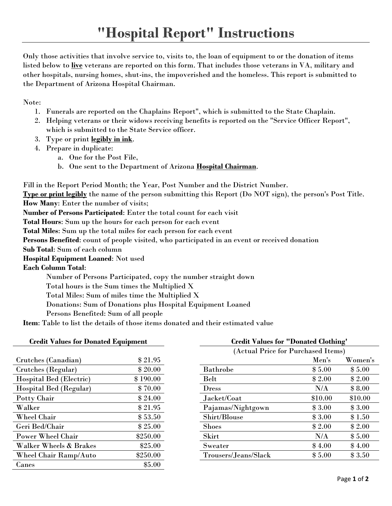Only those activities that involve service to, visits to, the loan of equipment to or the donation of items listed below to **live** veterans are reported on this form. That includes those veterans in VA, military and other hospitals, nursing homes, shut-ins, the impoverished and the homeless. This report is submitted to the Department of Arizona Hospital Chairman.

Note:

- 1. Funerals are reported on the Chaplains Report", which is submitted to the State Chaplain.
- 2. Helping veterans or their widows receiving benefits is reported on the "Service Officer Report", which is submitted to the State Service officer.
- 3. Type or print **legibly in ink**.
- 4. Prepare in duplicate:
	- a. One for the Post File,
	- b. One sent to the Department of Arizona **Hospital Chairman**.

Fill in the Report Period Month; the Year, Post Number and the District Number.

**Type or print legibly** the name of the person submitting this Report (Do NOT sign), the person's Post Title. **How Many**: Enter the number of visits;

**Number of Persons Participated**: Enter the total count for each visit

**Total Hours**: Sum up the hours for each person for each event

**Total Miles**: Sum up the total miles for each person for each event

**Persons Benefited**: count of people visited, who participated in an event or received donation

**Sub Total**: Sum of each column

**Hospital Equipment Loaned**: Not used

**Each Column Total**:

Number of Persons Participated, copy the number straight down

Total hours is the Sum times the Multiplied X

Total Miles: Sum of miles time the Multiplied X

Donations: Sum of Donations plus Hospital Equipment Loaned

Persons Benefited: Sum of all people

**Item**: Table to list the details of those items donated and their estimated value

| <b>Credit Values for Donated Equipment</b> |          | <b>Credit Values for "Donated Clothing"</b> |                                    |         |  |
|--------------------------------------------|----------|---------------------------------------------|------------------------------------|---------|--|
|                                            |          |                                             | (Actual Price for Purchased Items) |         |  |
| Crutches (Canadian)                        | \$21.95  |                                             | Men's                              | Women's |  |
| Crutches (Regular)                         | \$20.00  | <b>Bathrobe</b>                             | \$5.00                             | \$5.00  |  |
| Hospital Bed (Electric)                    | \$190.00 | Belt                                        | \$2.00                             | \$2.00  |  |
| Hospital Bed (Regular)                     | \$70.00  | <b>Dress</b>                                | N/A                                | \$8.00  |  |
| Potty Chair                                | \$24.00  | Jacket/Coat                                 | \$10.00                            | \$10.00 |  |
| Walker                                     | \$21.95  | Pajamas/Nightgown                           | \$3.00                             | \$3.00  |  |
| Wheel Chair                                | \$53.50  | Shirt/Blouse                                | \$3.00                             | \$1.50  |  |
| Geri Bed/Chair                             | \$25.00  | <b>Shoes</b>                                | \$2.00                             | \$2.00  |  |
| <b>Power Wheel Chair</b>                   | \$250.00 | Skirt                                       | N/A                                | \$5.00  |  |
| Walker Wheels & Brakes                     | \$25.00  | Sweater                                     | \$4.00                             | \$4.00  |  |
| Wheel Chair Ramp/Auto                      | \$250.00 | Trousers/Jeans/Slack                        | \$5.00                             | \$3.50  |  |
| Canes                                      | \$5.00   |                                             |                                    |         |  |